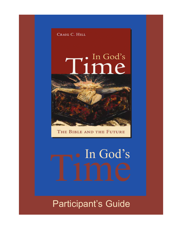

THE BIBLE AND THE FUTURE

# · In God's

Participant's Guide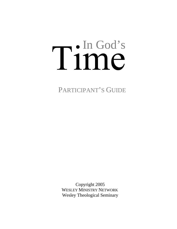# Tin God's

PARTICIPANT'S GUIDE

 Copyright 2005 WESLEY MINISTRY NETWORK Wesley Theological Seminary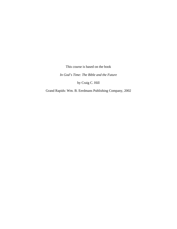This course is based on the book

*In God's Time: The Bible and the Future* 

by Craig C. Hill

Grand Rapids: Wm. B. Eerdmans Publishing Company, 2002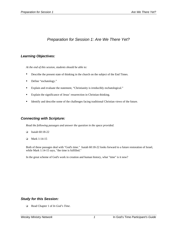# *Preparation for Session 1: Are We There Yet?*

# *Learning Objectives:*

*At the end of this session, students should be able to:* 

- Describe the present state of thinking in the church on the subject of the End Times.
- Define "eschatology."
- Explain and evaluate the statement, "Christianity is irreducibly eschatological."
- Explain the significance of Jesus' resurrection in Christian thinking.
- Identify and describe some of the challenges facing traditional Christian views of the future.

## *Connecting with Scripture:*

*Read the following passages and answer the question in the space provided.* 

- $\Box$  Isaiah 60:18-22
- $\Box$  Mark 1:14-15

Both of these passages deal with "God's time." Isaiah 60:18-22 looks forward to a future restoration of Israel, while Mark 1:14-15 says, "the time is fulfilled."

In the great scheme of God's work in creation and human history, what "time" is it now?

## *Study for this Session:*

Read Chapter 1 of *In God's Time*.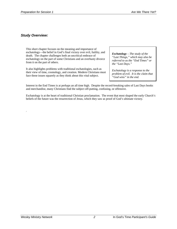# *Study Overview:*

.

This short chapter focuses on the meaning and importance of eschatology––the belief in God's final victory over evil, futility, and death. The chapter challenges both an uncritical embrace of eschatology on the part of some Christians and an overhasty divorce from it on the part of others.

It also highlights problems with traditional eschatologies, such as their view of time, cosmology, and creation. Modern Christians must face these issues squarely as they think about this vital subject.

*Eschatology – The study of the "Last Things," which may also be referred to as the "End Times" or the "Last Days."* 

*Eschatology is a response to the problem of evil. It is the claim that "God wins" in the end.* 

Interest in the End Times is at perhaps an all time high. Despite the record-breaking sales of Last Days books and merchandise, many Christians find the subject off-putting, confusing, or offensive.

Eschatology is at the heart of traditional Christian proclamation. The event that most shaped the early Church's beliefs of the future was the resurrection of Jesus, which they saw as proof of God's ultimate victory.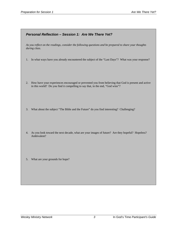# *Personal Reflection – Session 1: Are We There Yet?*

*As you reflect on the readings, consider the following questions and be prepared to share your thoughts during class.* 

- 1. In what ways have you already encountered the subject of the "Last Days"? What was your response?
- 2. How have your experiences encouraged or prevented you from believing that God is present and active in this world? Do you find it compelling to say that, in the end, "God wins"?
- 3. What about the subject "The Bible and the Future" do you find interesting? Challenging?
- 4. As you look toward the next decade, what are your images of future? Are they hopeful? Hopeless? Ambivalent?
- 5. What are your grounds for hope?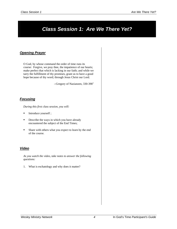# *Class Session 1: Are We There Yet?*

# *Opening Prayer*

O God, by whose command the order of time runs its course: Forgive, we pray thee, the impatience of our hearts; make perfect that which is lacking in our faith; and while we tarry the fulfillment of thy promises, grant us to have a good hope because of thy word; through Jesus Christ our Lord.

 $-$ Gregory of Nazianzen, 330-390 $^1$ 

# *Focusing*

*During this first class session, you will:* 

- Introduce yourself ;
- Describe the ways in which you have already encountered the subject of the End Times;
- Share with others what you expect to learn by the end of the course.

# *Video*

*As you watch the video, take notes to answer the following questions:* 

1. What is eschatology and why does it matter?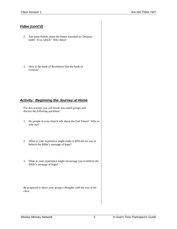# *Video (cont'd)*

- 2. Are some beliefs about the future essential to Christian faith? If so, which? Why these?
- 3. How is the book of Revelation like the book of Genesis?

# *Activity: Beginning the Journey at Home*

*For this activity, you will break into small groups and discuss the following questions:*

- 1. Do people in your church talk about the End Times? Why or why not?
- 2. What in your experience might make it difficult for you to believe the Bible's message of hope?
- 3. What in your experience might *encourage* you to believe the Bible's message of hope?

*Be prepared to share your group's thoughts with the rest of the class.*